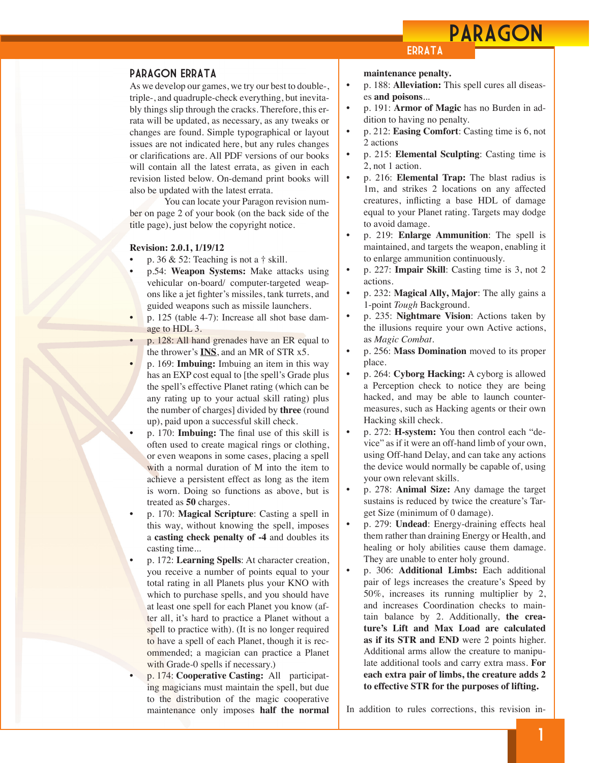## PARAGON

#### Paragon Errata

As we develop our games, we try our best to double-, triple-, and quadruple-check everything, but inevitably things slip through the cracks. Therefore, this errata will be updated, as necessary, as any tweaks or changes are found. Simple typographical or layout issues are not indicated here, but any rules changes or clarifications are. All PDF versions of our books will contain all the latest errata, as given in each revision listed below. On-demand print books will also be updated with the latest errata.

 You can locate your Paragon revision number on page 2 of your book (on the back side of the title page), just below the copyright notice.

#### **Revision: 2.0.1, 1/19/12**

- p. 36  $&$  52: Teaching is not a  $\dagger$  skill.
- p.54: **Weapon Systems:** Make attacks using vehicular on-board/ computer-targeted weapons like a jet fighter's missiles, tank turrets, and guided weapons such as missile launchers.
- p. 125 (table 4-7): Increase all shot base damage to HDL 3.
- p. 128: All hand grenades have an ER equal to the thrower's **INS**, and an MR of STR x5.
	- p. 169: **Imbuing:** Imbuing an item in this way has an EXP cost equal to [the spell's Grade plus the spell's effective Planet rating (which can be any rating up to your actual skill rating) plus the number of charges] divided by **three** (round up), paid upon a successful skill check.
- p. 170: **Imbuing:** The final use of this skill is often used to create magical rings or clothing, or even weapons in some cases, placing a spell with a normal duration of M into the item to achieve a persistent effect as long as the item is worn. Doing so functions as above, but is treated as **50** charges.
- p. 170: **Magical Scripture**: Casting a spell in this way, without knowing the spell, imposes a **casting check penalty of -4** and doubles its casting time...
	- p. 172: **Learning Spells**: At character creation, you receive a number of points equal to your total rating in all Planets plus your KNO with which to purchase spells, and you should have at least one spell for each Planet you know (after all, it's hard to practice a Planet without a spell to practice with). (It is no longer required to have a spell of each Planet, though it is recommended; a magician can practice a Planet with Grade-0 spells if necessary.)
- p. 174: **Cooperative Casting:** All participating magicians must maintain the spell, but due to the distribution of the magic cooperative maintenance only imposes **half the normal**

#### **ERRATA**

**maintenance penalty.**

- p. 188: **Alleviation:** This spell cures all diseases **and poisons**...
- p. 191: **Armor of Magic** has no Burden in addition to having no penalty.
- p. 212: **Easing Comfort**: Casting time is 6, not 2 actions
- p. 215: **Elemental Sculpting**: Casting time is 2, not 1 action.
- p. 216: **Elemental Trap:** The blast radius is 1m, and strikes 2 locations on any affected creatures, inflicting a base HDL of damage equal to your Planet rating. Targets may dodge to avoid damage.
- p. 219: **Enlarge Ammunition**: The spell is maintained, and targets the weapon, enabling it to enlarge ammunition continuously.
- p. 227: **Impair Skill**: Casting time is 3, not 2 actions.
- p. 232: **Magical Ally, Major**: The ally gains a 1-point *Tough* Background.
- p. 235: **Nightmare Vision**: Actions taken by the illusions require your own Active actions, as *Magic Combat*.
- p. 256: **Mass Domination** moved to its proper place.
- p. 264: **Cyborg Hacking:** A cyborg is allowed a Perception check to notice they are being hacked, and may be able to launch countermeasures, such as Hacking agents or their own Hacking skill check.
- p. 272: **H-system:** You then control each "device" as if it were an off-hand limb of your own, using Off-hand Delay, and can take any actions the device would normally be capable of, using your own relevant skills.
- p. 278: **Animal Size:** Any damage the target sustains is reduced by twice the creature's Target Size (minimum of 0 damage).
- p. 279: **Undead**: Energy-draining effects heal them rather than draining Energy or Health, and healing or holy abilities cause them damage. They are unable to enter holy ground.
- p. 306: **Additional Limbs:** Each additional pair of legs increases the creature's Speed by 50%, increases its running multiplier by 2, and increases Coordination checks to maintain balance by 2. Additionally, **the creature's Lift and Max Load are calculated as if its STR and END** were 2 points higher. Additional arms allow the creature to manipulate additional tools and carry extra mass. **For each extra pair of limbs, the creature adds 2 to effective STR for the purposes of lifting.**

In addition to rules corrections, this revision in-